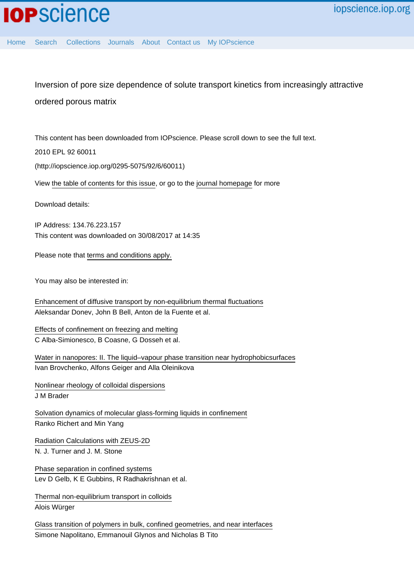Inversion of pore size dependence of solute transport kinetics from increasingly attractive ordered porous matrix

This content has been downloaded from IOPscience. Please scroll down to see the full text.

2010 EPL 92 60011

(http://iopscience.iop.org/0295-5075/92/6/60011)

View [the table of contents for this issue](http://iopscience.iop.org/0295-5075/92/6), or go to the [journal homepage](http://iopscience.iop.org/0295-5075) for more

Download details:

IP Address: 134.76.223.157 This content was downloaded on 30/08/2017 at 14:35

Please note that [terms and conditions apply.](http://iopscience.iop.org/page/terms)

You may also be interested in:

[Enhancement of diffusive transport by non-equilibrium thermal fluctuations](http://iopscience.iop.org/article/10.1088/1742-5468/2011/06/P06014) Aleksandar Donev, John B Bell, Anton de la Fuente et al.

[Effects of confinement on freezing and melting](http://iopscience.iop.org/article/10.1088/0953-8984/18/6/R01) C Alba-Simionesco, B Coasne, G Dosseh et al.

[Water in nanopores: II. The liquid–vapour phase transition near hydrophobicsurfaces](http://iopscience.iop.org/article/10.1088/0953-8984/16/45/004) Ivan Brovchenko, Alfons Geiger and Alla Oleinikova

[Nonlinear rheology of colloidal dispersions](http://iopscience.iop.org/article/10.1088/0953-8984/22/36/363101) J M Brader

[Solvation dynamics of molecular glass-forming liquids in confinement](http://iopscience.iop.org/article/10.1088/0953-8984/15/11/326) Ranko Richert and Min Yang

[Radiation Calculations with ZEUS-2D](http://iopscience.iop.org/article/10.1086/321779) N. J. Turner and J. M. Stone

[Phase separation in confined systems](http://iopscience.iop.org/article/10.1088/0034-4885/62/12/201) Lev D Gelb, K E Gubbins, R Radhakrishnan et al.

[Thermal non-equilibrium transport in colloids](http://iopscience.iop.org/article/10.1088/0034-4885/73/12/126601) Alois Würger

[Glass transition of polymers in bulk, confined geometries, and near interfaces](http://iopscience.iop.org/article/10.1088/1361-6633/aa5284) Simone Napolitano, Emmanouil Glynos and Nicholas B Tito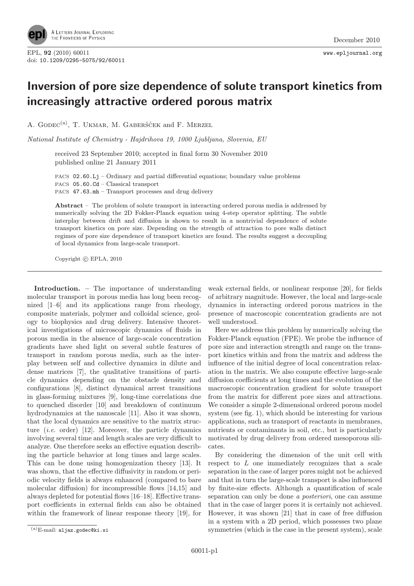

## Inversion of pore size dependence of solute transport kinetics from increasingly attractive ordered porous matrix

A. GODEC<sup>(a)</sup>, T. UKMAR, M. GABERŠČEK and F. MERZEL

National Institute of Chemistry - Hajdrihova 19, 1000 Ljubljana, Slovenia, EU

received 23 September 2010; accepted in final form 30 November 2010 published online 21 January 2011

PACS 02.60.Lj – Ordinary and partial differential equations; boundary value problems PACS 05.60.Cd – Classical transport PACS 47.63.mh – Transport processes and drug delivery

Abstract – The problem of solute transport in interacting ordered porous media is addressed by numerically solving the 2D Fokker-Planck equation using 4-step operator splitting. The subtle interplay between drift and diffusion is shown to result in a nontrivial dependence of solute transport kinetics on pore size. Depending on the strength of attraction to pore walls distinct regimes of pore size dependence of transport kinetics are found. The results suggest a decoupling of local dynamics from large-scale transport.

Copyright  $\odot$  EPLA, 2010

Introduction. – The importance of understanding molecular transport in porous media has long been recognized [1–6] and its applications range from rheology, composite materials, polymer and colloidal science, geology to biophysics and drug delivery. Intensive theoretical investigations of microscopic dynamics of fluids in porous media in the absence of large-scale concentration gradients have shed light on several subtle features of transport in random porous media, such as the interplay between self and collective dynamics in dilute and dense matrices [7], the qualitative transitions of particle dynamics depending on the obstacle density and configurations [8], distinct dynamical arrest transitions in glass-forming mixtures [9], long-time correlations due to quenched disorder [10] and breakdown of continuum hydrodynamics at the nanoscale [11]. Also it was shown, that the local dynamics are sensitive to the matrix structure  $(i.e. order)$  [12]. Moreover, the particle dynamics involving several time and length scales are very difficult to analyze. One therefore seeks an effective equation describing the particle behavior at long times and large scales. This can be done using homogenization theory [13]. It was shown, that the effective diffusivity in random or periodic velocity fields is always enhanced (compared to bare molecular diffusion) for incompressible flows [14,15] and always depleted for potential flows [16–18]. Effective transport coefficients in external fields can also be obtained within the framework of linear response theory [19], for

weak external fields, or nonlinear response [20], for fields of arbitrary magnitude. However, the local and large-scale dynamics in interacting ordered porous matrices in the presence of macroscopic concentration gradients are not well understood.

Here we address this problem by numerically solving the Fokker-Planck equation (FPE). We probe the influence of pore size and interaction strength and range on the transport kinetics within and from the matrix and address the influence of the initial degree of local concentration relaxation in the matrix. We also compute effective large-scale diffusion coefficients at long times and the evolution of the macroscopic concentration gradient for solute transport from the matrix for different pore sizes and attractions. We consider a simple 2-dimensional ordered porous model system (see fig. 1), which should be interesting for various applications, such as transport of reactants in membranes, nutrients or contaminants in soil, etc., but is particularly motivated by drug delivery from ordered mesoporous silicates.

By considering the dimension of the unit cell with respect to L one immediately recognizes that a scale separation in the case of larger pores might not be achieved and that in turn the large-scale transport is also influenced by finite-size effects. Although a quantification of scale separation can only be done *a posteriori*, one can assume that in the case of larger pores it is certainly not achieved. However, it was shown [21] that in case of free diffusion in a system with a 2D period, which possesses two plane symmetries (which is the case in the present system), scale

 $(a)$ E-mail: aljaz.godec@ki.si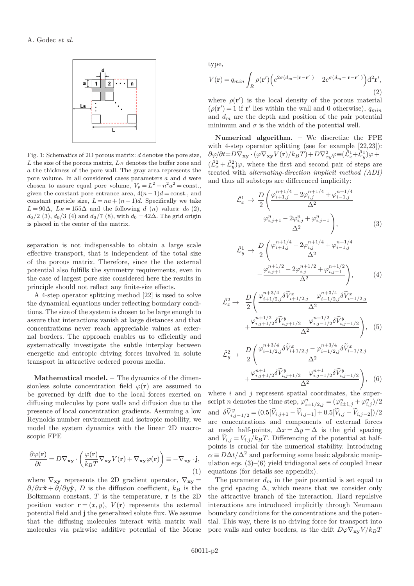

Fig. 1: Schematics of 2D porous matrix: d denotes the pore size,  $L$  the size of the porous matrix,  $L_B$  denotes the buffer zone and a the thickness of the pore wall. The gray area represents the pore volume. In all considered cases parameters a and d were chosen to assure equal pore volume,  $V_p = L^2 - n^2 a^2 = \text{const.}$ , given the constant pore entrance area,  $4(n-1)d = \text{const.}$ , and constant particle size,  $L = na + (n - 1)d$ . Specifically we take  $L = 90\Delta$ ,  $L_B = 155\Delta$  and the following d (n) values:  $d_0$  (2),  $d_0/2$  (3),  $d_0/3$  (4) and  $d_0/7$  (8), with  $d_0 = 42\Delta$ . The grid origin is placed in the center of the matrix.

separation is not indispensable to obtain a large scale effective transport, that is independent of the total size of the porous matrix. Therefore, since the the external potential also fulfills the symmetry requirements, even in the case of largest pore size considered here the results in principle should not reflect any finite-size effects.

A 4-step operator splitting method [22] is used to solve the dynamical equations under reflecting boundary conditions. The size of the system is chosen to be large enough to assure that interactions vanish at large distances and that concentrations never reach appreciable values at external borders. The approach enables us to efficiently and systematically investigate the subtle interplay between energetic and entropic driving forces involved in solute transport in attractive ordered porous media.

Mathematical model. – The dynamics of the dimensionless solute concentration field  $\varphi(\mathbf{r})$  are assumed to be governed by drift due to the local forces exerted on diffusing molecules by pore walls and diffusion due to the presence of local concentration gradients. Assuming a low Reynolds number environment and isotropic mobility, we model the system dynamics with the linear 2D macroscopic FPE

$$
\frac{\partial \varphi(\mathbf{r})}{\partial t} = D \nabla_{\mathbf{x} \mathbf{y}} \cdot \left( \frac{\varphi(\mathbf{r})}{k_B T} \nabla_{\mathbf{x} \mathbf{y}} V(\mathbf{r}) + \nabla_{\mathbf{x} \mathbf{y}} \varphi(\mathbf{r}) \right) \equiv -\nabla_{\mathbf{x} \mathbf{y}} \cdot \mathbf{j},\tag{1}
$$

where  $\nabla_{xy}$  represents the 2D gradient operator,  $\nabla_{xy} =$  $\partial/\partial x\hat{\mathbf{x}} + \partial/\partial y\hat{\mathbf{y}}$ , D is the diffusion coefficient,  $k_B$  is the Boltzmann constant,  $T$  is the temperature,  $\bf{r}$  is the 2D position vector  $\mathbf{r} = (x, y)$ ,  $V(\mathbf{r})$  represents the external potential field and j the generalized solute flux. We assume that the diffusing molecules interact with matrix wall molecules via pairwise additive potential of the Morse type,

$$
V(\mathbf{r}) = q_{min} \int_{R} \rho(\mathbf{r}') \Big( e^{2\sigma(d_m - |\mathbf{r} - \mathbf{r}'|)} - 2e^{\sigma(d_m - |\mathbf{r} - \mathbf{r}'|)} \Big) d^2 \mathbf{r}',
$$
\n(2)

where  $\rho(\mathbf{r}')$  is the local density of the porous material  $(\rho(\mathbf{r}')=1$  if  $\mathbf{r}'$  lies within the wall and 0 otherwise),  $q_{min}$ and  $d_m$  are the depth and position of the pair potential minimum and  $\sigma$  is the width of the potential well.

Numerical algorithm. – We discretize the FPE with 4-step operator splitting (see for example [22,23]):  $\partial \varphi/\partial t = D \nabla_{\bf xy}\cdot (\varphi\nabla_{\bf xy}V({\bf r})/k_BT) + D \nabla^2_{xy}\varphi\!\equiv\!(\tilde{\pmb {\mathcal L}}^1_x\!+\!\hat{\pmb {\mathcal L}}^1_y)\varphi\!+\! \nonumber$  $(\hat{\mathcal{L}}_x^2 + \hat{\mathcal{L}}_y^2)\varphi$ , where the first and second pair of steps are treated with alternating-direction implicit method (ADI) and thus all substeps are differenced implicitly:

$$
\hat{\mathcal{L}}_{x}^{1} \rightarrow \frac{D}{2} \left( \frac{\varphi_{i+1,j}^{n+1/4} - 2\varphi_{i,j}^{n+1/4} + \varphi_{i-1,j}^{n+1/4}}{\Delta^{2}} + \frac{\varphi_{i,j+1}^{n} - 2\varphi_{i,j}^{n} + \varphi_{i,j-1}^{n}}{\Delta^{2}} \right),
$$
\n(3)

$$
\hat{\mathcal{L}}_y^1 \to \frac{D}{2} \left( \frac{\varphi_{i+1,j}^{n+1/4} - 2\varphi_{i,j}^{n+1/4} + \varphi_{i-1,j}^{n+1/4}}{\Delta^2} + \frac{\varphi_{i,j+1}^{n+1/2} - 2\varphi_{i,j}^{n+1/2} + \varphi_{i,j-1}^{n+1/2}}{\Delta^2} \right), \tag{4}
$$

$$
\hat{\mathcal{L}}_{x}^{2} \rightarrow \frac{D}{2} \left( \frac{\varphi_{i+1/2,j}^{n+3/4} \delta \tilde{V}_{i+1/2,j}^{x} - \varphi_{i-1/2,j}^{n+3/4} \delta \tilde{V}_{i-1/2,j}^{x}}{\Delta^{2}} + \frac{\varphi_{i,j+1/2}^{n+1/2} \delta \tilde{V}_{i,j+1/2}^{y} - \varphi_{i,j-1/2}^{n+1/2} \delta \tilde{V}_{i,j-1/2}^{y}}{\Delta^{2}} \right), \quad (5)
$$

$$
\hat{\mathcal{L}}_y^2 \to \frac{D}{2} \left( \frac{\varphi_{i+1/2,j}^{n+3/4} \delta \tilde{V}_{i+1/2,j}^x - \varphi_{i-1/2,j}^{n+3/4} \delta \tilde{V}_{i-1/2,j}^x}{\Delta^2} + \frac{\varphi_{i,j+1/2}^{n+1} \delta \tilde{V}_{i,j+1/2}^y - \varphi_{i,j-1/2}^{n+1} \delta \tilde{V}_{i,j-1/2}^y}{\Delta^2} \right), \quad (6)
$$

where  $i$  and  $j$  represent spatial coordinates, the superscript *n* denotes the time step,  $\varphi_{i\pm 1/2,j}^n = (\varphi_{i\pm 1,j}^n + \varphi_{i,j}^n)/2$ and  $\delta \widetilde{V}_{i,j-1/2}^y = (0.5[\widetilde{V}_{i,j+1} - \widetilde{V}_{i,j-1}] + 0.5[\widetilde{V}_{i,j} - \widetilde{V}_{i,j-2}])/2$ are concentrations and components of external forces at mesh half-points,  $\Delta x = \Delta y = \Delta$  is the grid spacing and  $\widetilde{V}_{i,j} = V_{i,j}/k_BT$ . Differencing of the potential at halfpoints is crucial for the numerical stability. Introducing  $\alpha \equiv D\Delta t/\Delta^2$  and performing some basic algebraic manipulation eqs.  $(3)$ – $(6)$  yield tridiagonal sets of coupled linear equations (for details see appendix).

The parameter  $d_m$  in the pair potential is set equal to the grid spacing  $\Delta$ , which means that we consider only the attractive branch of the interaction. Hard repulsive interactions are introduced implicitly through Neumann boundary conditions for the concentrations and the potential. This way, there is no driving force for transport into pore walls and outer borders, as the drift  $D\varphi\nabla_{xy}V/k_BT$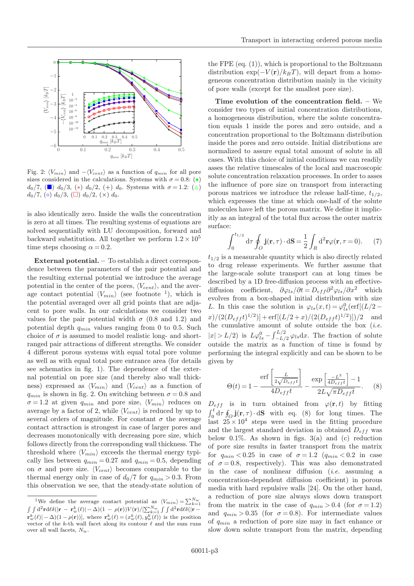

Fig. 2:  $\langle V_{min} \rangle$  and  $-\langle V_{cent} \rangle$  as a function of  $q_{min}$  for all pore sizes considered in the calculations. Systems with  $\sigma = 0.8$ : (•)  $d_0/7$ , ( $\Box$ )  $d_0/3$ , (\*)  $d_0/2$ , (+)  $d_0$ . Systems with  $\sigma = 1.2$ : ( $\Delta$ )  $d_0/7$ , ( $\circ$ )  $d_0/3$ , ( $\Box$ )  $d_0/2$ , ( $\times$ )  $d_0$ .

is also identically zero. Inside the walls the concentration is zero at all times. The resulting systems of equations are solved sequentially with LU decomposition, forward and backward substitution. All together we perform  $1.2 \times 10^5$ time steps choosing  $\alpha = 0.2$ .

External potential. – To establish a direct correspondence between the parameters of the pair potential and the resulting external potential we introduce the average potential in the center of the pores,  $\langle V_{cent} \rangle$ , and the average contact potential  $\langle V_{min} \rangle$  (see footnote <sup>1</sup>), which is the potential averaged over all grid points that are adjacent to pore walls. In our calculations we consider two values for the pair potential width  $\sigma$  (0.8 and 1.2) and potential depth  $q_{min}$  values ranging from 0 to 0.5. Such choice of  $\sigma$  is assumed to model realistic long- and shortranged pair attractions of different strengths. We consider 4 different porous systems with equal total pore volume as well as with equal total pore entrance area (for details see schematics in fig. 1). The dependence of the external potential on pore size (and thereby also wall thickness) expressed as  $\langle V_{min} \rangle$  and  $\langle V_{cent} \rangle$  as a function of  $q_{min}$  is shown in fig. 2. On switching between  $\sigma = 0.8$  and  $\sigma = 1.2$  at given  $q_{min}$  and pore size,  $\langle V_{min} \rangle$  reduces on average by a factor of 2, while  $\langle V_{cent} \rangle$  is reduced by up to several orders of magnitude. For constant  $\sigma$  the average contact attraction is strongest in case of larger pores and decreases monotonically with decreasing pore size, which follows directly from the corresponding wall thickness. The threshold where  $\langle V_{min} \rangle$  exceeds the thermal energy typically lies between  $q_{min} = 0.27$  and  $q_{min} = 0.5$ , depending on  $\sigma$  and pore size.  $\langle V_{cent} \rangle$  becomes comparable to the thermal energy only in case of  $d_0/7$  for  $q_{min} > 0.3$ . From this observation we see, that the steady-state solution of

the FPE  $(eq. (1))$ , which is proportional to the Boltzmann distribution exp( $-V(r)/k_BT$ ), will depart from a homogeneous concentration distribution mainly in the vicinity of pore walls (except for the smallest pore size).

Time evolution of the concentration field. – We consider two types of initial concentration distributions, a homogeneous distribution, where the solute concentration equals 1 inside the pores and zero outside, and a concentration proportional to the Boltzmann distribution inside the pores and zero outside. Initial distributions are normalized to assure equal total amount of solute in all cases. With this choice of initial conditions we can readily asses the relative timescales of the local and macroscopic solute concentration relaxation processes. In order to asses the influence of pore size on transport from interacting porous matrices we introduce the release half-time,  $t_{1/2}$ , which expresses the time at which one-half of the solute molecules have left the porous matrix. We define it implicitly as an integral of the total flux across the outer matrix surface:

$$
\int_0^{t_{1/2}} d\tau \oint_O \mathbf{j}(\mathbf{r}, \tau) \cdot d\mathbf{S} = \frac{1}{2} \int_R d^2 \mathbf{r} \varphi(\mathbf{r}, \tau = 0).
$$
 (7)

 $t_{1/2}$  is a measurable quantity which is also directly related to drug release experiments. We further assume that the large-scale solute transport can at long times be described by a 1D free-diffusion process with an effectivediffusion coefficient,  $\partial \varphi_{ls}/\partial t = D_{eff} \partial^2 \varphi_{ls}/\partial x^2$  which evolves from a box-shaped initial distribution with size L. In this case the solution is  $\varphi_{ls}(x,t) = \varphi_{ls}^0(\text{erf}[(L/2$  $x)/(2(D_{eff}t)^{1/2})$  + erf $[(L/2+x)/(2(D_{eff}t)^{1/2})]/2$  and the cumulative amount of solute outside the box  $(i.e.$  $|x| > L/2$ ) is  $L\varphi_{ls}^0 - \int_{-L/2}^{L/2} \varphi_{ls} dx$ . The fraction of solute outside the matrix as a function of time is found by performing the integral explicitly and can be shown to be given by

$$
\Theta(t) = 1 - \frac{\text{erf}\left[\frac{L}{2\sqrt{D_{eff}t}}\right]}{4D_{eff}t} - \frac{\text{exp}\left[\frac{-L^2}{4D_{eff}t}\right] - 1}{2L\sqrt{\pi D_{eff}t}}.
$$
 (8)

 $D_{eff}$  is in turn obtained from  $\varphi(\mathbf{r}, t)$  by fitting  $\int_0^t d\tau \oint_{\mathcal{O}} \mathbf{j}(\mathbf{r}, \tau) \cdot d\mathbf{S}$  with eq. (8) for long times. The last  $25 \times 10^4$  steps were used in the fitting procedure and the largest standard deviation in obtained  $D_{eff}$  was below  $0.1\%$ . As shown in figs.  $3(a)$  and (c) reduction of pore size results in faster transport from the matrix for  $q_{min} < 0.25$  in case of  $\sigma = 1.2$   $(q_{min} < 0.2$  in case of  $\sigma = 0.8$ , respectively). This was also demonstrated in the case of nonlinear diffusion (i.e. assuming a concentration-dependent diffusion coefficient) in porous media with hard repulsive walls [24]. On the other hand, a reduction of pore size always slows down transport from the matrix in the case of  $q_{min} > 0.4$  (for  $\sigma = 1.2$ ) and  $q_{min} > 0.35$  (for  $\sigma = 0.8$ ). For intermediate values of  $q_{min}$  a reduction of pore size may in fact enhance or slow down solute transport from the matrix, depending

<sup>&</sup>lt;sup>1</sup>We define the average contact potential as  $\langle V_{min} \rangle = \sum_{k=1}^{N_w}$  $\int \int d^2 \mathbf{r} d \ell \delta(|\mathbf{r} - \mathbf{r}_w^k(\ell)| - \Delta) (1 - \rho(\mathbf{r})) V(\mathbf{r}) / [\sum_{k=1}^{N_w} \int \int d^2 \mathbf{r} d \ell \delta(|\mathbf{r} - \ell|^2)$  $\mathbf{r}_w^k(\ell)$  –  $\Delta$ )(1 –  $\rho(\mathbf{r})$ ), where  $\mathbf{r}_w^k(\ell) = (x_w^k(\ell), y_w^k(\ell))$  is the position vector of the k-th wall facet along its contour  $\ell$  and the sum runs over all wall facets,  $N_w$ .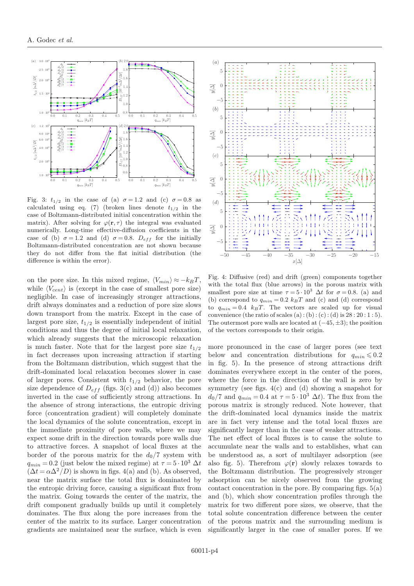

Fig. 3:  $t_{1/2}$  in the case of (a)  $\sigma = 1.2$  and (c)  $\sigma = 0.8$  as calculated using eq. (7) (broken lines denote  $t_{1/2}$  in the case of Boltzmann-distributed initial concentration within the matrix). After solving for  $\varphi(\mathbf{r}, \tau)$  the integral was evaluated numerically. Long-time effective-diffusion coefficients in the case of (b)  $\sigma = 1.2$  and (d)  $\sigma = 0.8$ .  $D_{eff}$  for the initially Boltzmann-distributed concentration are not shown because they do not differ from the flat initial distribution (the difference is within the error).

on the pore size. In this mixed regime,  $\langle V_{min} \rangle \approx -k_BT$ , while  $\langle V_{cent} \rangle$  is (except in the case of smallest pore size) negligible. In case of increasingly stronger attractions, drift always dominates and a reduction of pore size slows down transport from the matrix. Except in the case of largest pore size,  $t_{1/2}$  is essentially independent of initial conditions and thus the degree of initial local relaxation, which already suggests that the microscopic relaxation is much faster. Note that for the largest pore size  $t_{1/2}$ in fact decreases upon increasing attraction if starting from the Boltzmann distribution, which suggest that the drift-dominated local relaxation becomes slower in case of larger pores. Consistent with  $t_{1/2}$  behavior, the pore size dependence of  $D_{eff}$  (figs. 3(c) and (d)) also becomes inverted in the case of sufficiently strong attractions. In the absence of strong interactions, the entropic driving force (concentration gradient) will completely dominate the local dynamics of the solute concentration, except in the immediate proximity of pore walls, where we may expect some drift in the direction towards pore walls due to attractive forces. A snapshot of local fluxes at the border of the porous matrix for the  $d_0/7$  system with  $q_{min} = 0.2$  (just below the mixed regime) at  $\tau = 5 \cdot 10^3 \Delta t$  $(\Delta t = \alpha \Delta^2/D)$  is shown in figs. 4(a) and (b). As observed, near the matrix surface the total flux is dominated by the entropic driving force, causing a significant flux from the matrix. Going towards the center of the matrix, the drift component gradually builds up until it completely dominates. The flux along the pore increases from the center of the matrix to its surface. Larger concentration gradients are maintained near the surface, which is even



Fig. 4: Diffusive (red) and drift (green) components together with the total flux (blue arrows) in the porous matrix with smallest pore size at time  $\tau = 5 \cdot 10^3$   $\Delta t$  for  $\sigma = 0.8$ . (a) and (b) correspond to  $q_{min} = 0.2$   $k_B T$  and (c) and (d) correspond to  $q_{min} = 0.4$  k<sub>B</sub>T. The vectors are scaled up for visual convenience (the ratio of scales (a) : (b) : (c) : (d) is  $28:20:1:5$ ). The outermost pore walls are located at  $(-45, \pm 3)$ ; the position of the vectors corresponds to their origin.

more pronounced in the case of larger pores (see text below and concentration distributions for  $q_{min} \leq 0.2$ in fig. 5). In the presence of strong attractions drift dominates everywhere except in the center of the pores, where the force in the direction of the wall is zero by symmetry (see figs.  $4(c)$  and (d) showing a snapshot for  $d_0/7$  and  $q_{min} = 0.4$  at  $\tau = 5 \cdot 10^3 \Delta t$ . The flux from the porous matrix is strongly reduced. Note however, that the drift-dominated local dynamics inside the matrix are in fact very intense and the total local fluxes are significantly larger than in the case of weaker attractions. The net effect of local fluxes is to cause the solute to accumulate near the walls and to establishes, what can be understood as, a sort of multilayer adsorption (see also fig. 5). Therefrom  $\varphi(\mathbf{r})$  slowly relaxes towards to the Boltzmann distribution. The progressively stronger adsorption can be nicely observed from the growing contact concentration in the pore. By comparing figs.  $5(a)$ and (b), which show concentration profiles through the matrix for two different pore sizes, we observe, that the total solute concentration difference between the center of the porous matrix and the surrounding medium is significantly larger in the case of smaller pores. If we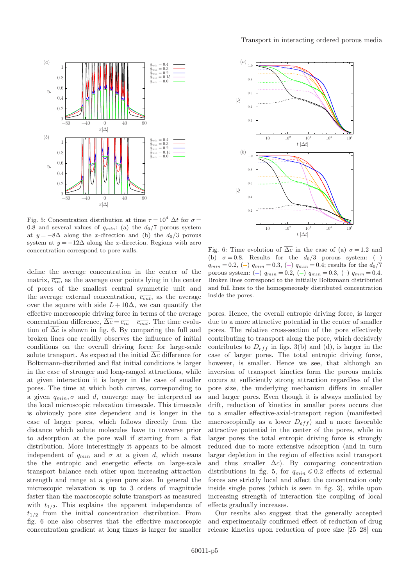

Fig. 5: Concentration distribution at time  $\tau = 10^4 \Delta t$  for  $\sigma =$ 0.8 and several values of  $q_{min}$ : (a) the  $d_0/7$  porous system at  $y = -8\Delta$  along the x-direction and (b) the  $d_0/3$  porous system at  $y = -12\Delta$  along the x-direction. Regions with zero concentration correspond to pore walls.

define the average concentration in the center of the matrix,  $\overline{c_{in}}$ , as the average over points lying in the center of pores of the smallest central symmetric unit and the average external concentration,  $\overline{c_{out}}$ , as the average over the square with side  $L+10\Delta$ , we can quantify the effective macroscopic driving force in terms of the average concentration difference,  $\overline{\Delta c} = \overline{c_{in}} - \overline{c_{out}}$ . The time evolution of  $\overline{\Delta c}$  is shown in fig. 6. By comparing the full and broken lines one readily observes the influence of initial conditions on the overall driving force for large-scale solute transport. As expected the initial  $\overline{\Delta c}$  difference for Boltzmann-distributed and flat initial conditions is larger in the case of stronger and long-ranged attractions, while at given interaction it is larger in the case of smaller pores. The time at which both curves, corresponding to a given  $q_{min}, \sigma$  and d, converge may be interpreted as the local microscopic relaxation timescale. This timescale is obviously pore size dependent and is longer in the case of larger pores, which follows directly from the distance which solute molecules have to traverse prior to adsorption at the pore wall if starting from a flat distribution. More interestingly it appears to be almost independent of  $q_{min}$  and  $\sigma$  at a given d, which means the the entropic and energetic effects on large-scale transport balance each other upon increasing attraction strength and range at a given pore size. In general the microscopic relaxation is up to 3 orders of magnitude faster than the macroscopic solute transport as measured with  $t_{1/2}$ . This explains the apparent independence of  $t_{1/2}$  from the initial concentration distribution. From fig. 6 one also observes that the effective macroscopic concentration gradient at long times is larger for smaller



Fig. 6: Time evolution of  $\overline{\Delta c}$  in the case of (a)  $\sigma = 1.2$  and (b)  $\sigma = 0.8$ . Results for the  $d_0/3$  porous system: (-)  $q_{min} = 0.2, (-)$   $q_{min} = 0.3, (-)$   $q_{min} = 0.4$ ; results for the  $d_0/7$ porous system: (-)  $q_{min} = 0.2$ , (-)  $q_{min} = 0.3$ , (-)  $q_{min} = 0.4$ . Broken lines correspond to the initially Boltzmann distributed and full lines to the homogeneously distributed concentration inside the pores.

pores. Hence, the overall entropic driving force, is larger due to a more attractive potential in the center of smaller pores. The relative cross-section of the pore effectively contributing to transport along the pore, which decisively contributes to  $D_{eff}$  in figs. 3(b) and (d), is larger in the case of larger pores. The total entropic driving force, however, is smaller. Hence we see, that although an inversion of transport kinetics form the porous matrix occurs at sufficiently strong attraction regardless of the pore size, the underlying mechanism differs in smaller and larger pores. Even though it is always mediated by drift, reduction of kinetics in smaller pores occurs due to a smaller effective-axial-transport region (manifested macroscopically as a lower  $D_{eff}$  and a more favorable attractive potential in the center of the pores, while in larger pores the total entropic driving force is strongly reduced due to more extensive adsorption (and in turn larger depletion in the region of effective axial transport and thus smaller  $\overline{\Delta c}$ . By comparing concentration distributions in fig. 5, for  $q_{min} \leq 0.2$  effects of external forces are strictly local and affect the concentration only inside single pores (which is seen in fig. 3), while upon increasing strength of interaction the coupling of local effects gradually increases.

Our results also suggest that the generally accepted and experimentally confirmed effect of reduction of drug release kinetics upon reduction of pore size [25–28] can